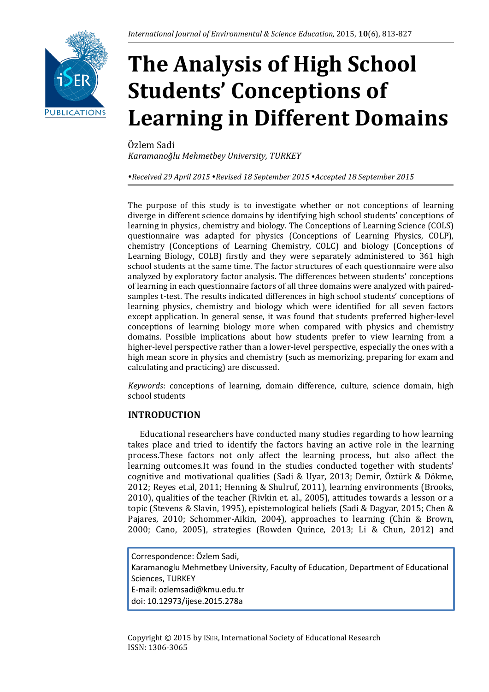# **The Analysis of High School Students' Conceptions of Learning in Different Domains**

Özlem Sadi *Karamanoğlu Mehmetbey University, TURKEY*

*Received 29 April 2015 Revised 18 September 2015 Accepted 18 September 2015*

The purpose of this study is to investigate whether or not conceptions of learning diverge in different science domains by identifying high school students' conceptions of learning in physics, chemistry and biology. The Conceptions of Learning Science (COLS) questionnaire was adapted for physics (Conceptions of Learning Physics, COLP), chemistry (Conceptions of Learning Chemistry, COLC) and biology (Conceptions of Learning Biology, COLB) firstly and they were separately administered to 361 high school students at the same time. The factor structures of each questionnaire were also analyzed by exploratory factor analysis. The differences between students' conceptions of learning in each questionnaire factors of all three domains were analyzed with pairedsamples t-test. The results indicated differences in high school students' conceptions of learning physics, chemistry and biology which were identified for all seven factors except application. In general sense, it was found that students preferred higher-level conceptions of learning biology more when compared with physics and chemistry domains. Possible implications about how students prefer to view learning from a higher-level perspective rather than a lower-level perspective, especially the ones with a high mean score in physics and chemistry (such as memorizing, preparing for exam and calculating and practicing) are discussed.

*Keywords*: conceptions of learning, domain difference, culture, science domain, high school students

## **INTRODUCTION**

Educational researchers have conducted many studies regarding to how learning takes place and tried to identify the factors having an active role in the learning process.These factors not only affect the learning process, but also affect the learning outcomes.It was found in the studies conducted together with students' cognitive and motivational qualities (Sadi & Uyar, 2013; Demir, Öztürk & Dökme, 2012; Reyes et.al, 2011; Henning & Shulruf, 2011), learning environments (Brooks, 2010), qualities of the teacher (Rivkin et. al., 2005), attitudes towards a lesson or a topic (Stevens & Slavin, 1995), epistemological beliefs (Sadi & Dagyar, 2015; Chen & Pajares, 2010; Schommer-Aikin, 2004), approaches to learning (Chin & Brown, 2000; Cano, 2005), strategies (Rowden Quince, 2013; Li & Chun, 2012) and

Correspondence: Özlem Sadi, Karamanoglu Mehmetbey University, Faculty of Education, Department of Educational Sciences, TURKEY E-mail: ozlemsadi@kmu.edu.tr doi: 10.12973/ijese.2015.278a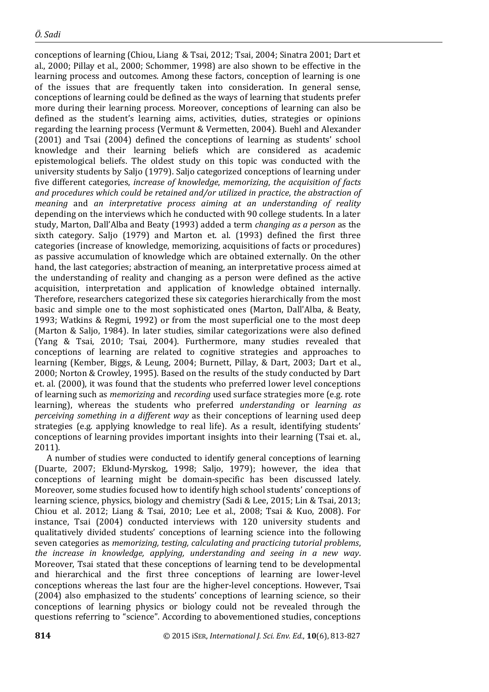conceptions of learning (Chiou, Liang & Tsai, 2012; Tsai, 2004; Sinatra 2001; Dart et al., 2000; Pillay et al., 2000; Schommer, 1998) are also shown to be effective in the learning process and outcomes. Among these factors, conception of learning is one of the issues that are frequently taken into consideration. In general sense, conceptions of learning could be defined as the ways of learning that students prefer more during their learning process. Moreover, conceptions of learning can also be defined as the student's learning aims, activities, duties, strategies or opinions regarding the learning process (Vermunt & Vermetten, 2004). Buehl and Alexander (2001) and Tsai (2004) defined the conceptions of learning as students' school knowledge and their learning beliefs which are considered as academic epistemological beliefs. The oldest study on this topic was conducted with the university students by Saljo (1979). Saljo categorized conceptions of learning under five different categories, *increase of knowledge*, *memorizing*, *the acquisition of facts and procedures which could be retained and/or utilized in practice*, *the abstraction of meaning* and *an interpretative process aiming at an understanding of reality* depending on the interviews which he conducted with 90 college students. In a later study, Marton, Dall'Alba and Beaty (1993) added a term *changing as a person* as the sixth category. Saljo (1979) and Marton et. al. (1993) defined the first three categories (increase of knowledge, memorizing, acquisitions of facts or procedures) as passive accumulation of knowledge which are obtained externally. On the other hand, the last categories; abstraction of meaning, an interpretative process aimed at the understanding of reality and changing as a person were defined as the active acquisition, interpretation and application of knowledge obtained internally. Therefore, researchers categorized these six categories hierarchically from the most basic and simple one to the most sophisticated ones (Marton, Dall'Alba, & Beaty, 1993; Watkins & Regmi, 1992) or from the most superficial one to the most deep (Marton & Saljo, 1984). In later studies, similar categorizations were also defined (Yang & Tsai, 2010; Tsai, 2004). Furthermore, many studies revealed that conceptions of learning are related to cognitive strategies and approaches to learning (Kember, Biggs, & Leung, 2004; Burnett, Pillay, & Dart, 2003; Dart et al., 2000; Norton & Crowley, 1995). Based on the results of the study conducted by Dart et. al. (2000), it was found that the students who preferred lower level conceptions of learning such as *memorizing* and *recording* used surface strategies more (e.g. rote learning), whereas the students who preferred *understanding* or *learning as perceiving something in a different way* as their conceptions of learning used deep strategies (e.g. applying knowledge to real life). As a result, identifying students' conceptions of learning provides important insights into their learning (Tsai et. al., 2011).

A number of studies were conducted to identify general conceptions of learning (Duarte, 2007; Eklund-Myrskog, 1998; Saljo, 1979); however, the idea that conceptions of learning might be domain-specific has been discussed lately. Moreover, some studies focused how to identify high school students' conceptions of learning science, physics, biology and chemistry (Sadi & Lee, 2015; Lin & Tsai, 2013; Chiou et al. 2012; Liang & Tsai, 2010; Lee et al., 2008; Tsai & Kuo, 2008). For instance, Tsai (2004) conducted interviews with 120 university students and qualitatively divided students' conceptions of learning science into the following seven categories as *memorizing, testing, calculating and practicing tutorial problems*, *the increase in knowledge, applying, understanding and seeing in a new way*. Moreover, Tsai stated that these conceptions of learning tend to be developmental and hierarchical and the first three conceptions of learning are lower-level conceptions whereas the last four are the higher-level conceptions. However, Tsai (2004) also emphasized to the students' conceptions of learning science, so their conceptions of learning physics or biology could not be revealed through the questions referring to "science". According to abovementioned studies, conceptions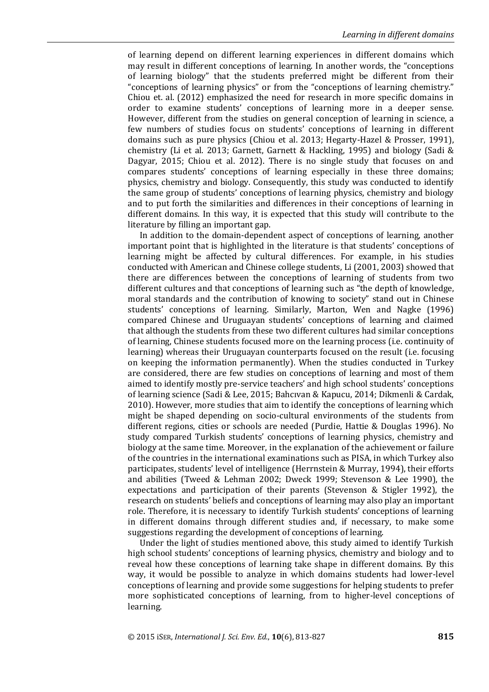of learning depend on different learning experiences in different domains which may result in different conceptions of learning. In another words, the "conceptions of learning biology" that the students preferred might be different from their "conceptions of learning physics" or from the "conceptions of learning chemistry." Chiou et. al. (2012) emphasized the need for research in more specific domains in order to examine students' conceptions of learning more in a deeper sense. However, different from the studies on general conception of learning in science, a few numbers of studies focus on students' conceptions of learning in different domains such as pure physics (Chiou et al. 2013; Hegarty-Hazel & Prosser, 1991), chemistry (Li et al. 2013; Garnett, Garnett & Hackling, 1995) and biology (Sadi & Dagyar, 2015; Chiou et al. 2012). There is no single study that focuses on and compares students' conceptions of learning especially in these three domains; physics, chemistry and biology. Consequently, this study was conducted to identify the same group of students' conceptions of learning physics, chemistry and biology and to put forth the similarities and differences in their conceptions of learning in different domains. In this way, it is expected that this study will contribute to the literature by filling an important gap.

In addition to the domain-dependent aspect of conceptions of learning, another important point that is highlighted in the literature is that students' conceptions of learning might be affected by cultural differences. For example, in his studies conducted with American and Chinese college students, Li (2001, 2003) showed that there are differences between the conceptions of learning of students from two different cultures and that conceptions of learning such as "the depth of knowledge, moral standards and the contribution of knowing to society" stand out in Chinese students' conceptions of learning. Similarly, Marton, Wen and Nagke (1996) compared Chinese and Uruguayan students' conceptions of learning and claimed that although the students from these two different cultures had similar conceptions of learning, Chinese students focused more on the learning process (i.e. continuity of learning) whereas their Uruguayan counterparts focused on the result (i.e. focusing on keeping the information permanently). When the studies conducted in Turkey are considered, there are few studies on conceptions of learning and most of them aimed to identify mostly pre-service teachers' and high school students' conceptions of learning science (Sadi & Lee, 2015; Bahcıvan & Kapucu, 2014; Dikmenli & Cardak, 2010). However, more studies that aim to identify the conceptions of learning which might be shaped depending on socio-cultural environments of the students from different regions, cities or schools are needed (Purdie, Hattie & Douglas 1996). No study compared Turkish students' conceptions of learning physics, chemistry and biology at the same time. Moreover, in the explanation of the achievement or failure of the countries in the international examinations such as PISA, in which Turkey also participates, students' level of intelligence (Herrnstein & Murray, 1994), their efforts and abilities (Tweed & Lehman 2002; Dweck 1999; Stevenson & Lee 1990), the expectations and participation of their parents (Stevenson & Stigler 1992), the research on students' beliefs and conceptions of learning may also play an important role. Therefore, it is necessary to identify Turkish students' conceptions of learning in different domains through different studies and, if necessary, to make some suggestions regarding the development of conceptions of learning.

Under the light of studies mentioned above, this study aimed to identify Turkish high school students' conceptions of learning physics, chemistry and biology and to reveal how these conceptions of learning take shape in different domains. By this way, it would be possible to analyze in which domains students had lower-level conceptions of learning and provide some suggestions for helping students to prefer more sophisticated conceptions of learning, from to higher-level conceptions of learning.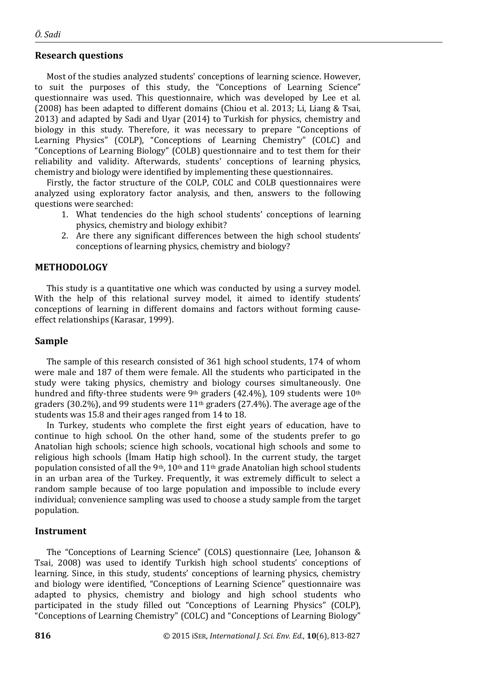#### **Research questions**

Most of the studies analyzed students' conceptions of learning science. However, to suit the purposes of this study, the "Conceptions of Learning Science" questionnaire was used. This questionnaire, which was developed by Lee et al. (2008) has been adapted to different domains (Chiou et al. 2013; Li, Liang & Tsai, 2013) and adapted by Sadi and Uyar (2014) to Turkish for physics, chemistry and biology in this study. Therefore, it was necessary to prepare "Conceptions of Learning Physics" (COLP), "Conceptions of Learning Chemistry" (COLC) and "Conceptions of Learning Biology" (COLB) questionnaire and to test them for their reliability and validity. Afterwards, students' conceptions of learning physics, chemistry and biology were identified by implementing these questionnaires.

Firstly, the factor structure of the COLP, COLC and COLB questionnaires were analyzed using exploratory factor analysis, and then, answers to the following questions were searched:

- 1. What tendencies do the high school students' conceptions of learning physics, chemistry and biology exhibit?
- 2. Are there any significant differences between the high school students' conceptions of learning physics, chemistry and biology?

#### **METHODOLOGY**

This study is a quantitative one which was conducted by using a survey model. With the help of this relational survey model, it aimed to identify students' conceptions of learning in different domains and factors without forming causeeffect relationships (Karasar, 1999).

#### **Sample**

The sample of this research consisted of 361 high school students, 174 of whom were male and 187 of them were female. All the students who participated in the study were taking physics, chemistry and biology courses simultaneously. One hundred and fifty-three students were 9<sup>th</sup> graders (42.4%), 109 students were 10<sup>th</sup> graders (30.2%), and 99 students were  $11<sup>th</sup>$  graders (27.4%). The average age of the students was 15.8 and their ages ranged from 14 to 18.

In Turkey, students who complete the first eight years of education, have to continue to high school. On the other hand, some of the students prefer to go Anatolian high schools; science high schools, vocational high schools and some to religious high schools (İmam Hatip high school). In the current study, the target population consisted of all the 9<sup>th</sup>, 10<sup>th</sup> and 11<sup>th</sup> grade Anatolian high school students in an urban area of the Turkey. Frequently, it was extremely difficult to select a random sample because of too large population and impossible to include every individual; convenience sampling was used to choose a study sample from the target population.

#### **Instrument**

The "Conceptions of Learning Science" (COLS) questionnaire (Lee, Johanson & Tsai, 2008) was used to identify Turkish high school students' conceptions of learning. Since, in this study, students' conceptions of learning physics, chemistry and biology were identified, "Conceptions of Learning Science" questionnaire was adapted to physics, chemistry and biology and high school students who participated in the study filled out "Conceptions of Learning Physics" (COLP), "Conceptions of Learning Chemistry" (COLC) and "Conceptions of Learning Biology"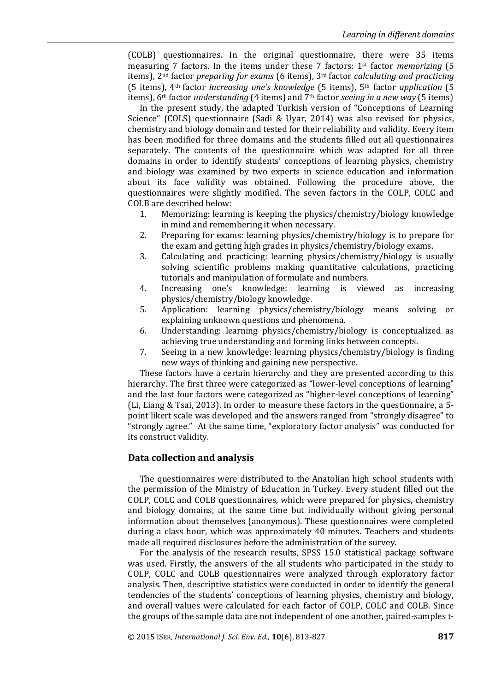(COLB) questionnaires. In the original questionnaire, there were 35 items measuring 7 factors. In the items under these 7 factors: 1st factor *memorizing* (5 items), 2nd factor *preparing for exams* (6 items), 3rd factor *calculating and practicing* (5 items), 4th factor *increasing one's knowledge* (5 items), 5th factor *application* (5 items), 6th factor *understanding* (4 items) and 7th factor *seeing in a new way* (5 items)

In the present study, the adapted Turkish version of "Conceptions of Learning Science" (COLS) questionnaire (Sadi & Uyar, 2014) was also revised for physics, chemistry and biology domain and tested for their reliability and validity. Every item has been modified for three domains and the students filled out all questionnaires separately. The contents of the questionnaire which was adapted for all three domains in order to identify students' conceptions of learning physics, chemistry and biology was examined by two experts in science education and information about its face validity was obtained. Following the procedure above, the questionnaires were slightly modified. The seven factors in the COLP, COLC and COLB are described below:

- 1. Memorizing: learning is keeping the physics/chemistry/biology knowledge in mind and remembering it when necessary.
- 2. Preparing for exams: learning physics/chemistry/biology is to prepare for the exam and getting high grades in physics/chemistry/biology exams.
- 3. Calculating and practicing: learning physics/chemistry/biology is usually solving scientific problems making quantitative calculations, practicing tutorials and manipulation of formulate and numbers.
- 4. Increasing one's knowledge: learning is viewed as increasing physics/chemistry/biology knowledge.
- 5. Application: learning physics/chemistry/biology means solving or explaining unknown questions and phenomena.
- 6. Understanding: learning physics/chemistry/biology is conceptualized as achieving true understanding and forming links between concepts.
- 7. Seeing in a new knowledge: learning physics/chemistry/biology is finding new ways of thinking and gaining new perspective.

These factors have a certain hierarchy and they are presented according to this hierarchy. The first three were categorized as "lower-level conceptions of learning" and the last four factors were categorized as "higher-level conceptions of learning" (Li, Liang & Tsai, 2013). In order to measure these factors in the questionnaire, a 5 point likert scale was developed and the answers ranged from "strongly disagree" to "strongly agree." At the same time, "exploratory factor analysis" was conducted for its construct validity.

#### **Data collection and analysis**

The questionnaires were distributed to the Anatolian high school students with the permission of the Ministry of Education in Turkey. Every student filled out the COLP, COLC and COLB questionnaires, which were prepared for physics, chemistry and biology domains, at the same time but individually without giving personal information about themselves (anonymous). These questionnaires were completed during a class hour, which was approximately 40 minutes. Teachers and students made all required disclosures before the administration of the survey.

For the analysis of the research results, SPSS 15.0 statistical package software was used. Firstly, the answers of the all students who participated in the study to COLP, COLC and COLB questionnaires were analyzed through exploratory factor analysis. Then, descriptive statistics were conducted in order to identify the general tendencies of the students' conceptions of learning physics, chemistry and biology, and overall values were calculated for each factor of COLP, COLC and COLB. Since the groups of the sample data are not independent of one another, paired-samples t-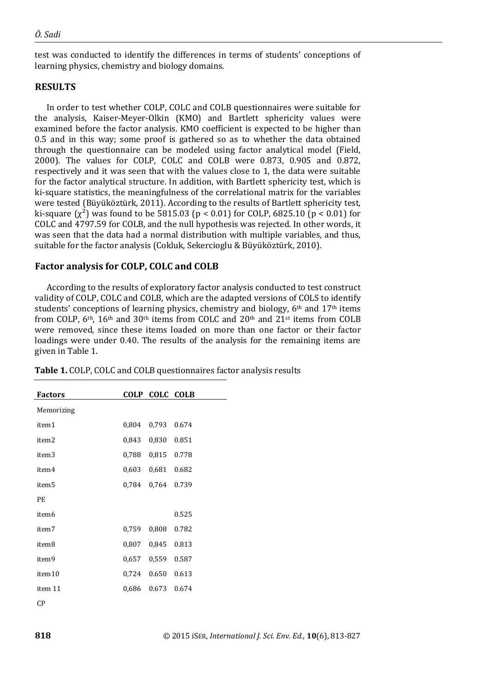test was conducted to identify the differences in terms of students' conceptions of learning physics, chemistry and biology domains.

## **RESULTS**

In order to test whether COLP, COLC and COLB questionnaires were suitable for the analysis, Kaiser-Meyer-Olkin (KMO) and Bartlett sphericity values were examined before the factor analysis. KMO coefficient is expected to be higher than 0.5 and in this way; some proof is gathered so as to whether the data obtained through the questionnaire can be modeled using factor analytical model (Field, 2000). The values for COLP, COLC and COLB were 0.873, 0.905 and 0.872, respectively and it was seen that with the values close to 1, the data were suitable for the factor analytical structure. In addition, with Bartlett sphericity test, which is ki-square statistics, the meaningfulness of the correlational matrix for the variables were tested (Büyüköztürk, 2011). According to the results of Bartlett sphericity test, ki-square  $(x^2)$  was found to be 5815.03 (p < 0.01) for COLP, 6825.10 (p < 0.01) for COLC and 4797.59 for COLB, and the null hypothesis was rejected. In other words, it was seen that the data had a normal distribution with multiple variables, and thus, suitable for the factor analysis (Cokluk, Sekercioglu & Büyüköztürk, 2010).

## **Factor analysis for COLP, COLC and COLB**

According to the results of exploratory factor analysis conducted to test construct validity of COLP, COLC and COLB, which are the adapted versions of COLS to identify students' conceptions of learning physics, chemistry and biology,  $6<sup>th</sup>$  and  $17<sup>th</sup>$  items from COLP, 6<sup>th</sup>, 16<sup>th</sup> and 30<sup>th</sup> items from COLC and 20<sup>th</sup> and 21<sup>st</sup> items from COLB were removed, since these items loaded on more than one factor or their factor loadings were under 0.40. The results of the analysis for the remaining items are given in Table 1.

| <b>Factors</b>    |       | COLP COLC COLB |       |
|-------------------|-------|----------------|-------|
| Memorizing        |       |                |       |
| item1             | 0,804 | 0,793          | 0.674 |
| item <sub>2</sub> | 0,843 | 0,830          | 0.851 |
| item3             | 0,788 | 0.815          | 0.778 |
| item4             | 0,603 | 0,681          | 0.682 |
| item <sub>5</sub> | 0,784 | 0,764          | 0.739 |
| PE.               |       |                |       |
| item <sub>6</sub> |       |                | 0.525 |
| item7             | 0,759 | 0,808          | 0.782 |
| item8             | 0,807 | 0,845          | 0.813 |
| item9             | 0,657 | 0,559          | 0.587 |
| item10            | 0,724 | 0.650          | 0.613 |
| item 11           | 0,686 | 0.673          | 0.674 |
| CР                |       |                |       |

**Table 1.** COLP, COLC and COLB questionnaires factor analysis results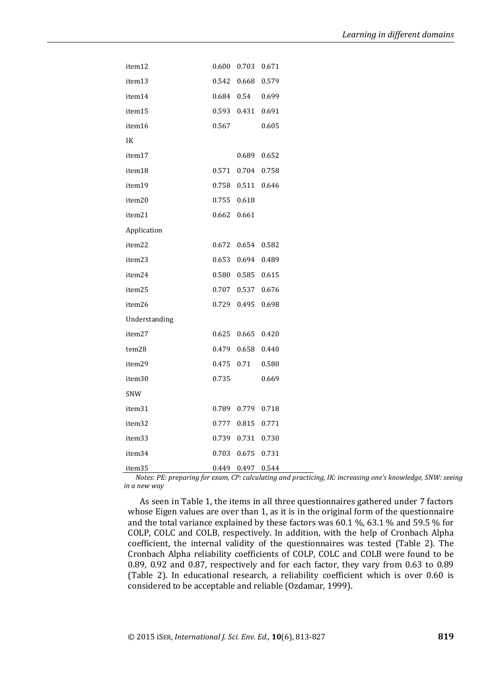| item12        | 0.600 | 0.703             | 0.671       |
|---------------|-------|-------------------|-------------|
| item13        |       | 0.542 0.668       | 0.579       |
| item14        | 0.684 | 0.54              | 0.699       |
| item15        | 0.593 | 0.431             | 0.691       |
| item16        | 0.567 |                   | 0.605       |
| IK            |       |                   |             |
| item17        |       |                   | 0.689 0.652 |
| item18        |       | 0.571 0.704 0.758 |             |
| item19        |       | 0.758 0.511       | 0.646       |
| item20        | 0.755 | 0.618             |             |
| item21        | 0.662 | 0.661             |             |
| Application   |       |                   |             |
| item22        | 0.672 | 0.654             | 0.582       |
| item23        | 0.653 |                   | 0.694 0.489 |
| item24        |       | 0.580 0.585       | 0.615       |
| item25        | 0.707 | 0.537             | 0.676       |
| item26        | 0.729 | 0.495             | 0.698       |
| Understanding |       |                   |             |
| item27        |       | 0.625 0.665       | 0.420       |
| tem28         | 0.479 | 0.658             | 0.440       |
| item29        |       | 0.475 0.71        | 0.580       |
| item30        | 0.735 |                   | 0.669       |
| SNW           |       |                   |             |
| item31        |       | 0.789 0.779 0.718 |             |
| item32        |       | 0.777 0.815       | 0.771       |
| item33        | 0.739 | 0.731             | 0.730       |
| item34        | 0.703 | 0.675             | 0.731       |
| item35        | 0.449 | 0.497             | 0.544       |

*Notes: PE: preparing for exam, CP: calculating and practicing, IK: increasing one's knowledge, SNW: seeing in a new way*

As seen in Table 1, the items in all three questionnaires gathered under 7 factors whose Eigen values are over than 1, as it is in the original form of the questionnaire and the total variance explained by these factors was 60.1 %, 63.1 % and 59.5 % for COLP, COLC and COLB, respectively. In addition, with the help of Cronbach Alpha coefficient, the internal validity of the questionnaires was tested (Table 2). The Cronbach Alpha reliability coefficients of COLP, COLC and COLB were found to be 0.89, 0.92 and 0.87, respectively and for each factor, they vary from 0.63 to 0.89 (Table 2). In educational research, a reliability coefficient which is over 0.60 is considered to be acceptable and reliable (Ozdamar, 1999).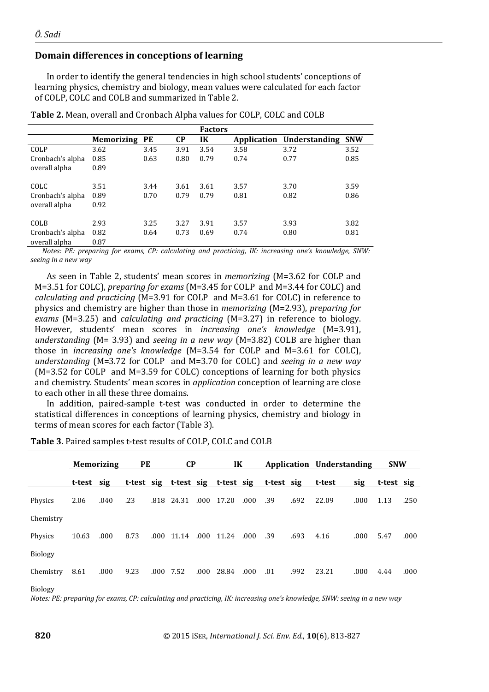## **Domain differences in conceptions of learning**

In order to identify the general tendencies in high school students' conceptions of learning physics, chemistry and biology, mean values were calculated for each factor of COLP, COLC and COLB and summarized in Table 2.

|                  |                   |      |           | <b>Factors</b> |             |               |            |
|------------------|-------------------|------|-----------|----------------|-------------|---------------|------------|
|                  | <b>Memorizing</b> | PE   | <b>CP</b> | IK             | Application | Understanding | <b>SNW</b> |
| COLP             | 3.62              | 3.45 | 3.91      | 3.54           | 3.58        | 3.72          | 3.52       |
| Cronbach's alpha | 0.85              | 0.63 | 0.80      | 0.79           | 0.74        | 0.77          | 0.85       |
| overall alpha    | 0.89              |      |           |                |             |               |            |
| COLC             | 3.51              | 3.44 | 3.61      | 3.61           | 3.57        | 3.70          | 3.59       |
| Cronbach's alpha | 0.89              | 0.70 | 0.79      | 0.79           | 0.81        | 0.82          | 0.86       |
| overall alpha    | 0.92              |      |           |                |             |               |            |
| <b>COLB</b>      | 2.93              | 3.25 | 3.27      | 3.91           | 3.57        | 3.93          | 3.82       |
| Cronbach's alpha | 0.82              | 0.64 | 0.73      | 0.69           | 0.74        | 0.80          | 0.81       |
| overall alpha    | 0.87              |      |           |                |             |               |            |

**Table 2.** Mean, overall and Cronbach Alpha values for COLP, COLC and COLB

*Notes: PE: preparing for exams, CP: calculating and practicing, IK: increasing one's knowledge, SNW: seeing in a new way*

As seen in Table 2, students' mean scores in *memorizing* (M=3.62 for COLP and M=3.51 for COLC), *preparing for exams* (M=3.45 for COLP and M=3.44 for COLC) and *calculating and practicing* (M=3.91 for COLP and M=3.61 for COLC) in reference to physics and chemistry are higher than those in *memorizing* (M=2.93), *preparing for exams* (M=3.25) and *calculating and practicing* (M=3.27) in reference to biology. However, students' mean scores in *increasing one's knowledge* (M=3.91), *understanding* (M= 3.93) and *seeing in a new way* (M=3.82) COLB are higher than those in *increasing one's knowledge* (M=3.54 for COLP and M=3.61 for COLC), *understanding* (M=3.72 for COLP and M=3.70 for COLC) and *seeing in a new way* (M=3.52 for COLP and M=3.59 for COLC) conceptions of learning for both physics and chemistry. Students' mean scores in *application* conception of learning are close to each other in all these three domains.

In addition, paired-sample t-test was conducted in order to determine the statistical differences in conceptions of learning physics, chemistry and biology in terms of mean scores for each factor (Table 3).

|                | <b>Memorizing</b> |      | PE   |      | <b>CP</b>  |      | IK    |       |                                             |      | Application Understanding |      | <b>SNW</b> |      |
|----------------|-------------------|------|------|------|------------|------|-------|-------|---------------------------------------------|------|---------------------------|------|------------|------|
|                | t-test            | sig  |      |      |            |      |       |       | t-test sig t-test sig t-test sig t-test sig |      | t-test                    | sig  | t-test sig |      |
| Physics        | 2.06              | .040 | .23  |      | .818 24.31 | .000 | 17.20 | .000  | .39                                         | .692 | 22.09                     | .000 | 1.13       | .250 |
| Chemistry      |                   |      |      |      |            |      |       |       |                                             |      |                           |      |            |      |
| Physics        | 10.63             | .000 | 8.73 |      | .000 11.14 | .000 | 11.24 | .000. | .39                                         | .693 | 4.16                      | .000 | 5.47       | .000 |
| <b>Biology</b> |                   |      |      |      |            |      |       |       |                                             |      |                           |      |            |      |
| Chemistry      | 8.61              | .000 | 9.23 | .000 | 7.52       | .000 | 28.84 | .000. | .01                                         | .992 | 23.21                     | .000 | 4.44       | .000 |
| <b>Biology</b> |                   |      |      |      |            |      |       |       |                                             |      |                           |      |            |      |

**Table 3.** Paired samples t-test results of COLP, COLC and COLB

*Notes: PE: preparing for exams, CP: calculating and practicing, IK: increasing one's knowledge, SNW: seeing in a new way*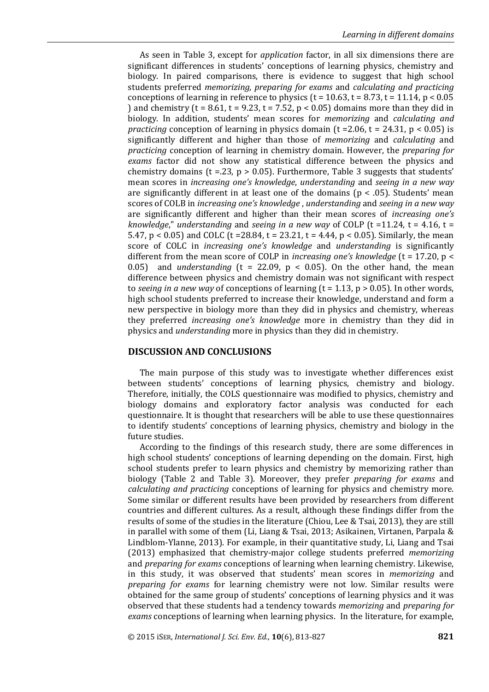As seen in Table 3, except for *application* factor, in all six dimensions there are significant differences in students' conceptions of learning physics, chemistry and biology. In paired comparisons, there is evidence to suggest that high school students preferred *memorizing, preparing for exams* and *calculating and practicing*  conceptions of learning in reference to physics ( $t = 10.63$ ,  $t = 8.73$ ,  $t = 11.14$ ,  $p < 0.05$ ) and chemistry ( $t = 8.61$ ,  $t = 9.23$ ,  $t = 7.52$ ,  $p < 0.05$ ) domains more than they did in biology. In addition, students' mean scores for *memorizing* and *calculating and practicing* conception of learning in physics domain ( $t = 2.06$ ,  $t = 24.31$ ,  $p < 0.05$ ) is significantly different and higher than those of *memorizing* and *calculating* and *practicing* conception of learning in chemistry domain. However, the *preparing for exams* factor did not show any statistical difference between the physics and chemistry domains (t = 23, p > 0.05). Furthermore, Table 3 suggests that students' mean scores in *increasing one's knowledge*, *understanding* and *seeing in a new way* are significantly different in at least one of the domains ( $p < .05$ ). Students' mean scores of COLB in *increasing one's knowledge* , *understanding* and *seeing in a new way* are significantly different and higher than their mean scores of *increasing one's knowledge*," *understanding* and *seeing in a new way* of COLP (t =11.24, t = 4.16, t = 5.47, p < 0.05) and COLC (t = 28.84, t = 23.21, t = 4.44, p < 0.05). Similarly, the mean score of COLC in *increasing one's knowledge* and *understanding* is significantly different from the mean score of COLP in *increasing one's knowledge* (t = 17.20, p < 0.05) and *understanding* ( $t = 22.09$ ,  $p < 0.05$ ). On the other hand, the mean difference between physics and chemistry domain was not significant with respect to *seeing in a new way* of conceptions of learning (t = 1.13, p > 0.05). In other words, high school students preferred to increase their knowledge, understand and form a new perspective in biology more than they did in physics and chemistry, whereas they preferred *increasing one's knowledge* more in chemistry than they did in physics and *understanding* more in physics than they did in chemistry.

### **DISCUSSION AND CONCLUSIONS**

The main purpose of this study was to investigate whether differences exist between students' conceptions of learning physics, chemistry and biology. Therefore, initially, the COLS questionnaire was modified to physics, chemistry and biology domains and exploratory factor analysis was conducted for each questionnaire. It is thought that researchers will be able to use these questionnaires to identify students' conceptions of learning physics, chemistry and biology in the future studies.

According to the findings of this research study, there are some differences in high school students' conceptions of learning depending on the domain. First, high school students prefer to learn physics and chemistry by memorizing rather than biology (Table 2 and Table 3). Moreover, they prefer *preparing for exams* and *calculating and practicing* conceptions of learning for physics and chemistry more. Some similar or different results have been provided by researchers from different countries and different cultures. As a result, although these findings differ from the results of some of the studies in the literature (Chiou, Lee & Tsai, 2013), they are still in parallel with some of them (Li, Liang & Tsai, 2013; Asikainen, Virtanen, Parpala & Lindblom-Ylanne, 2013). For example, in their quantitative study, Li, Liang and Tsai (2013) emphasized that chemistry-major college students preferred *memorizing* and *preparing for exams* conceptions of learning when learning chemistry. Likewise, in this study, it was observed that students' mean scores in *memorizing* and *preparing for exams* for learning chemistry were not low. Similar results were obtained for the same group of students' conceptions of learning physics and it was observed that these students had a tendency towards *memorizing* and *preparing for exams* conceptions of learning when learning physics. In the literature, for example,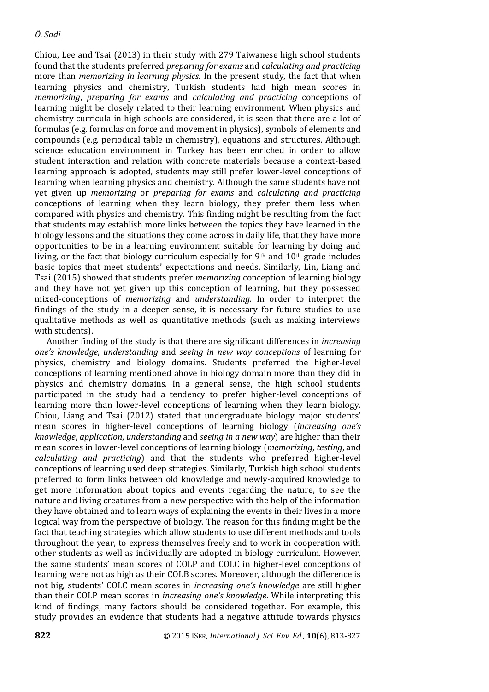Chiou, Lee and Tsai (2013) in their study with 279 Taiwanese high school students found that the students preferred *preparing for exams* and *calculating and practicing* more than *memorizing in learning physics*. In the present study, the fact that when learning physics and chemistry, Turkish students had high mean scores in *memorizing*, *preparing for exams* and *calculating and practicing* conceptions of learning might be closely related to their learning environment. When physics and chemistry curricula in high schools are considered, it is seen that there are a lot of formulas (e.g. formulas on force and movement in physics), symbols of elements and compounds (e.g. periodical table in chemistry), equations and structures. Although science education environment in Turkey has been enriched in order to allow student interaction and relation with concrete materials because a context-based learning approach is adopted, students may still prefer lower-level conceptions of learning when learning physics and chemistry. Although the same students have not yet given up *memorizing* or *preparing for exams* and *calculating and practicing* conceptions of learning when they learn biology, they prefer them less when compared with physics and chemistry. This finding might be resulting from the fact that students may establish more links between the topics they have learned in the biology lessons and the situations they come across in daily life, that they have more opportunities to be in a learning environment suitable for learning by doing and living, or the fact that biology curriculum especially for 9th and  $10<sup>th</sup>$  grade includes basic topics that meet students' expectations and needs. Similarly, Lin, Liang and Tsai (2015) showed that students prefer *memorizing* conception of learning biology and they have not yet given up this conception of learning, but they possessed mixed-conceptions of *memorizing* and *understanding*. In order to interpret the findings of the study in a deeper sense, it is necessary for future studies to use qualitative methods as well as quantitative methods (such as making interviews with students).

Another finding of the study is that there are significant differences in *increasing one's knowledge*, *understanding* and *seeing in new way conceptions* of learning for physics, chemistry and biology domains. Students preferred the higher-level conceptions of learning mentioned above in biology domain more than they did in physics and chemistry domains. In a general sense, the high school students participated in the study had a tendency to prefer higher-level conceptions of learning more than lower-level conceptions of learning when they learn biology. Chiou, Liang and Tsai (2012) stated that undergraduate biology major students' mean scores in higher-level conceptions of learning biology (*increasing one's knowledge*, *application*, *understanding* and *seeing in a new way*) are higher than their mean scores in lower-level conceptions of learning biology (*memorizing*, *testing*, and *calculating and practicing*) and that the students who preferred higher-level conceptions of learning used deep strategies. Similarly, Turkish high school students preferred to form links between old knowledge and newly-acquired knowledge to get more information about topics and events regarding the nature, to see the nature and living creatures from a new perspective with the help of the information they have obtained and to learn ways of explaining the events in their lives in a more logical way from the perspective of biology. The reason for this finding might be the fact that teaching strategies which allow students to use different methods and tools throughout the year, to express themselves freely and to work in cooperation with other students as well as individually are adopted in biology curriculum. However, the same students' mean scores of COLP and COLC in higher-level conceptions of learning were not as high as their COLB scores. Moreover, although the difference is not big, students' COLC mean scores in *increasing one's knowledge* are still higher than their COLP mean scores in *increasing one's knowledge*. While interpreting this kind of findings, many factors should be considered together. For example, this study provides an evidence that students had a negative attitude towards physics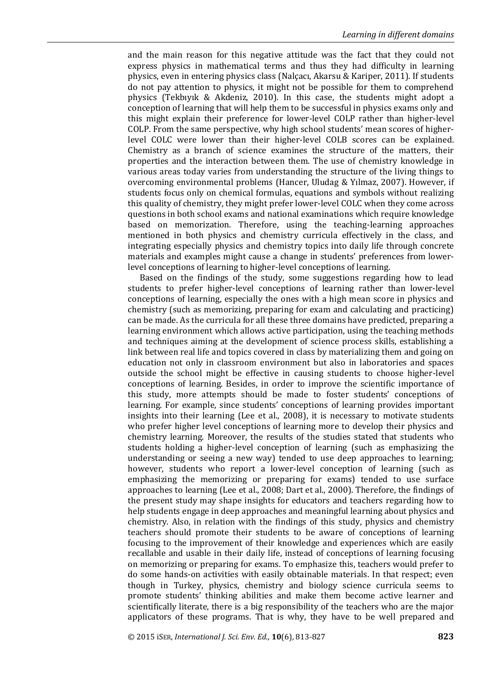and the main reason for this negative attitude was the fact that they could not express physics in mathematical terms and thus they had difficulty in learning physics, even in entering physics class (Nalçacı, Akarsu & Kariper, 2011). If students do not pay attention to physics, it might not be possible for them to comprehend physics (Tekbıyık & Akdeniz, 2010). In this case, the students might adopt a conception of learning that will help them to be successful in physics exams only and this might explain their preference for lower-level COLP rather than higher-level COLP. From the same perspective, why high school students' mean scores of higherlevel COLC were lower than their higher-level COLB scores can be explained. Chemistry as a branch of science examines the structure of the matters, their properties and the interaction between them. The use of chemistry knowledge in various areas today varies from understanding the structure of the living things to overcoming environmental problems (Hancer, Uludag & Yılmaz, 2007). However, if students focus only on chemical formulas, equations and symbols without realizing this quality of chemistry, they might prefer lower-level COLC when they come across questions in both school exams and national examinations which require knowledge based on memorization. Therefore, using the teaching-learning approaches mentioned in both physics and chemistry curricula effectively in the class, and integrating especially physics and chemistry topics into daily life through concrete materials and examples might cause a change in students' preferences from lowerlevel conceptions of learning to higher-level conceptions of learning.

Based on the findings of the study, some suggestions regarding how to lead students to prefer higher-level conceptions of learning rather than lower-level conceptions of learning, especially the ones with a high mean score in physics and chemistry (such as memorizing, preparing for exam and calculating and practicing) can be made. As the curricula for all these three domains have predicted, preparing a learning environment which allows active participation, using the teaching methods and techniques aiming at the development of science process skills, establishing a link between real life and topics covered in class by materializing them and going on education not only in classroom environment but also in laboratories and spaces outside the school might be effective in causing students to choose higher-level conceptions of learning. Besides, in order to improve the scientific importance of this study, more attempts should be made to foster students' conceptions of learning. For example, since students' conceptions of learning provides important insights into their learning (Lee et al., 2008), it is necessary to motivate students who prefer higher level conceptions of learning more to develop their physics and chemistry learning. Moreover, the results of the studies stated that students who students holding a higher-level conception of learning (such as emphasizing the understanding or seeing a new way) tended to use deep approaches to learning; however, students who report a lower-level conception of learning (such as emphasizing the memorizing or preparing for exams) tended to use surface approaches to learning (Lee et al., 2008; Dart et al., 2000). Therefore, the findings of the present study may shape insights for educators and teachers regarding how to help students engage in deep approaches and meaningful learning about physics and chemistry. Also, in relation with the findings of this study, physics and chemistry teachers should promote their students to be aware of conceptions of learning focusing to the improvement of their knowledge and experiences which are easily recallable and usable in their daily life, instead of conceptions of learning focusing on memorizing or preparing for exams. To emphasize this, teachers would prefer to do some hands-on activities with easily obtainable materials. In that respect; even though in Turkey, physics, chemistry and biology science curricula seems to promote students' thinking abilities and make them become active learner and scientifically literate, there is a big responsibility of the teachers who are the major applicators of these programs. That is why, they have to be well prepared and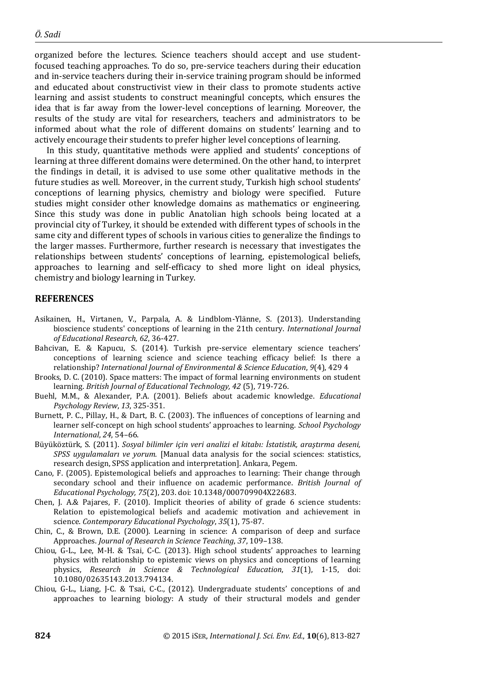organized before the lectures. Science teachers should accept and use studentfocused teaching approaches. To do so, pre-service teachers during their education and in-service teachers during their in-service training program should be informed and educated about constructivist view in their class to promote students active learning and assist students to construct meaningful concepts, which ensures the idea that is far away from the lower-level conceptions of learning. Moreover, the results of the study are vital for researchers, teachers and administrators to be informed about what the role of different domains on students' learning and to actively encourage their students to prefer higher level conceptions of learning.

In this study, quantitative methods were applied and students' conceptions of learning at three different domains were determined. On the other hand, to interpret the findings in detail, it is advised to use some other qualitative methods in the future studies as well. Moreover, in the current study, Turkish high school students' conceptions of learning physics, chemistry and biology were specified. Future studies might consider other knowledge domains as mathematics or engineering. Since this study was done in public Anatolian high schools being located at a provincial city of Turkey, it should be extended with different types of schools in the same city and different types of schools in various cities to generalize the findings to the larger masses. Furthermore, further research is necessary that investigates the relationships between students' conceptions of learning, epistemological beliefs, approaches to learning and self-efficacy to shed more light on ideal physics, chemistry and biology learning in Turkey.

#### **REFERENCES**

- Asikainen, H., Virtanen, V., Parpala, A. & Lindblom-Ylänne, S. (2013). Understanding bioscience students' conceptions of learning in the 21th century. *International Journal of Educational Research, 62*, 36-427.
- Bahcivan, E. & Kapucu, S. (2014). Turkish pre-service elementary science teachers' conceptions of learning science and science teaching efficacy belief: Is there a relationship? *International Journal of Environmental & Science Education*, *9*(4), 429 4
- Brooks, D. C. (2010). Space matters: The impact of formal learning environments on student learning. *British Journal of Educational Technology, 42* (5), 719-726.
- Buehl, M.M., & Alexander, P.A. (2001). Beliefs about academic knowledge. *Educational Psychology Review*, *13*, 325-351.
- Burnett, P. C., Pillay, H., & Dart, B. C. (2003). The influences of conceptions of learning and learner self-concept on high school students' approaches to learning. *School Psychology International*, *24*, 54–66.
- Büyüköztürk, S. (2011). *Sosyal bilimler için veri analizi el kitabı: İstatistik, araştırma deseni, SPSS uygulamaları ve yorum.* [Manual data analysis for the social sciences: statistics, research design, SPSS application and interpretation]. Ankara, Pegem.
- Cano, F. (2005). Epistemological beliefs and approaches to learning: Their change through secondary school and their influence on academic performance. *British Journal of Educational Psychology, 75*(2), 203. doi: 10.1348/000709904X22683.
- Chen, J. A.& Pajares, F. (2010). Implicit theories of ability of grade 6 science students: Relation to epistemological beliefs and academic motivation and achievement in science. *Contemporary Educational Psychology*, *35*(1), 75-87.
- Chin, C., & Brown, D.E. (2000). Learning in science: A comparison of deep and surface Approaches. *Journal of Research in Science Teaching*, *37*, 109–138.
- Chiou, G-L., Lee, M-H. & Tsai, C-C. (2013). High school students' approaches to learning physics with relationship to epistemic views on physics and conceptions of learning physics, *Research in Science & Technological Education*, *31*(1), 1-15, doi: 10.1080/02635143.2013.794134.
- Chiou, G-L., Liang, J-C. & Tsai, C-C., (2012). Undergraduate students' conceptions of and approaches to learning biology: A study of their structural models and gender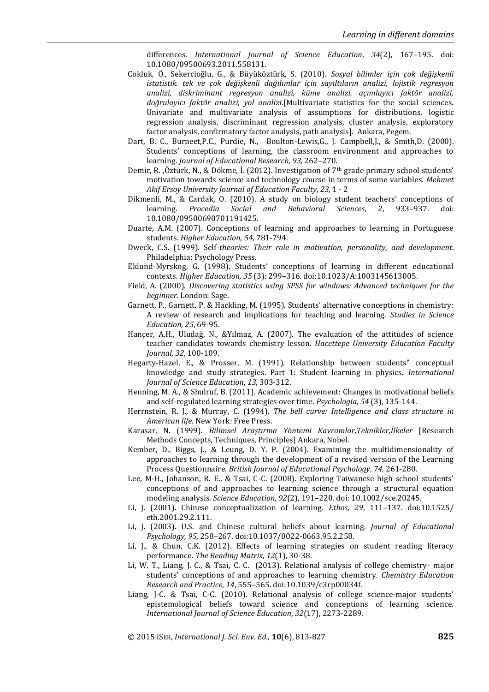differences. *International Journal of Science Education*, *34*(2), 167–195. doi: 10.1080/09500693.2011.558131.

- Cokluk, Ö., Sekercioğlu, G., & Büyüköztürk, S. (2010). *Sosyal bilimler için çok değişkenli istatistik. tek ve çok değişkenli dağılımlar için sayıltıların analizi, lojistik regresyon analizi, diskriminant regresyon analizi, küme analizi, açımlayıcı faktör analizi, doğrulayıcı faktör analizi, yol analizi*.[Multivariate statistics for the social sciences. Univariate and multivariate analysis of assumptions for distributions, logistic regression analysis, discriminant regression analysis, cluster analysis, exploratory factor analysis, confirmatory factor analysis, path analysis]. Ankara, Pegem.
- Dart, B. C., Burneet, P.C., Purdie, N., Boulton-Lewis, G., J. Campbell, J., & Smith, D. (2000). Students' conceptions of learning, the classroom environment and approaches to learning. *Journal of Educational Research*, *93,* 262–270.
- Demir, R. ,Öztürk, N., & Dökme, İ. (2012). Investigation of 7th grade primary school students' motivation towards science and technology course in terms of some variables. *Mehmet Akif Ersoy University Journal of Education Faculty*, *23*, 1 - 2
- Dikmenli, M., & Cardak, O. (2010). A study on biology student teachers' conceptions of learning. *Procedia Social and Behavioral Sciences*, *2*, 933–937. doi: 10.1080/09500690701191425.
- Duarte, A.M. (2007). Conceptions of learning and approaches to learning in Portuguese students. *Higher Education*, *54*, 781-794.
- Dweck, C.S. (1999). Self*-theories: Their role in motivation, personality, and development*. Philadelphia: Psychology Press.
- Eklund-Myrskog, G. (1998). Students' conceptions of learning in different educational contexts. *Higher Education, 35* (3): 299–316. doi:10.1023/A:1003145613005.
- Field, A. (2000). *Discovering statistics using SPSS for windows: Advanced techniques for the beginner.* London: Sage.
- Garnett, P., Garnett, P. & Hackling, M. (1995). Students' alternative conceptions in chemistry: A review of research and implications for teaching and learning. *Studies in Science Education*, *25*, 69-95.
- Hançer, A.H., Uludağ, N., &Yılmaz, A. (2007). The evaluation of the attitudes of science teacher candidates towards chemistry lesson. *Hacettepe University Education Faculty Journal*, *32*, 100-109.
- Hegarty-Hazel, E., & Prosser, M. (1991). Relationship between students" conceptual knowledge and study strategies. Part 1: Student learning in physics. *International Journal of Science Education*, *13*, 303-312.
- Henning, M. A., & Shulruf, B. (2011). Academic achievement: Changes in motivational beliefs and self-regulated learning strategies over time. *Psychologia*, *54* (3), 135-144.
- Herrnstein, R. J., & Murray, C. (1994). *The bell curve: Intelligence and class structure in American life.* New York: Free Press.
- Karasar, N. (1999). *Bilimsel Araştırma Yöntemi Kavramlar,Teknikler,İlkeler* [Research Methods Concepts, Techniques, Principles] Ankara, Nobel.
- Kember, D., Biggs, J., & Leung, D. Y. P. (2004). Examining the multidimensionality of approaches to learning through the development of a revised version of the Learning Process Questionnaire. *British Journal of Educational Psychology*, *74,* 261-280.
- Lee, M-H., Johanson, R. E., & Tsai, C-C. (2008). Exploring Taiwanese high school students' conceptions of and approaches to learning science through a structural equation modeling analysis. *Science Education*, *92*(2), 191–220. doi: 10.1002/sce.20245.
- Li, J. (2001). Chinese conceptualization of learning. *Ethos, 29*, 111–137. doi:10.1525/ eth.2001.29.2.111.
- Li, J. (2003). U.S. and Chinese cultural beliefs about learning. *Journal of Educational Psychology, 95*, 258–267. doi:10.1037/0022-0663.95.2.258.
- Li, J., & Chun, C.K. (2012). Effects of learning strategies on student reading literacy performance. *The Reading Matrix*, *12*(1), 30-38.
- Li, W. T., Liang, J. C., & Tsai, C. C. (2013). Relational analysis of college chemistry- major students' conceptions of and approaches to learning chemistry. *Chemistry Education Research and Practice*, *14*, 555–565. doi:10.1039/c3rp00034f.
- Liang, J-C. & Tsai, C-C. (2010). Relational analysis of college science-major students' epistemological beliefs toward science and conceptions of learning science. *International Journal of Science Education*, *32*(17), 2273-2289.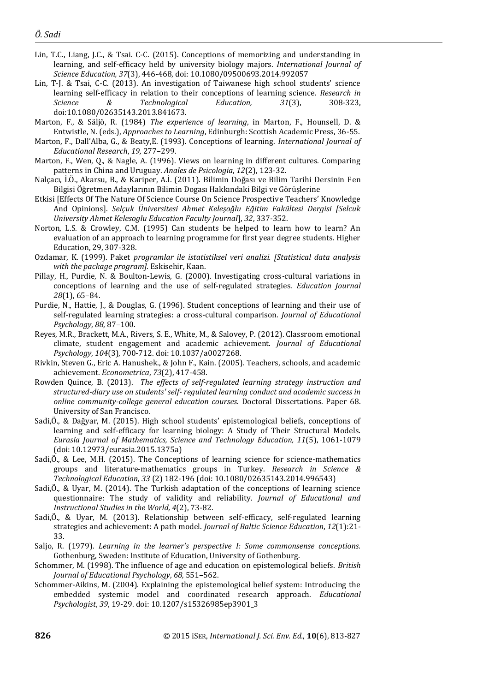- Lin, T.C., Liang, J.C., & Tsai. C-C. (2015). Conceptions of memorizing and understanding in learning, and self-efficacy held by university biology majors. *International Journal of Science Education, 37*(3), 446-468, doi: 10.1080/09500693.2014.992057
- Lin, T-J. & Tsai, C-C. (2013). An investigation of Taiwanese high school students' science learning self-efficacy in relation to their conceptions of learning science. *Research in Science & Technological Education, 31*(3), 308-323, doi:10.1080/02635143.2013.841673.
- Marton, F., & Säljö, R. (1984) *The experience of learning*, in Marton, F., Hounsell, D. & Entwistle, N. (eds.), *Approaches to Learning*, Edinburgh: Scottish Academic Press, 36-55.
- Marton, F., Dall'Alba, G., & Beaty,E. (1993). Conceptions of learning. *International Journal of Educational Research*, *19,* 277–299.
- Marton, F., Wen, Q., & Nagle, A. (1996). Views on learning in different cultures. Comparing patterns in China and Uruguay. *Anales de Psicologia*, *12*(2), 123-32.
- Nalçacı, İ.Ö., Akarsu, B., & Kariper, A.İ. (2011). Bilimin Doğası ve Bilim Tarihi Dersinin Fen Bilgisi Öğretmen Adaylarının Bilimin Dogası Hakkındaki Bilgi ve Görüşlerine
- Etkisi [Effects Of The Nature Of Science Course On Science Prospective Teachers' Knowledge And Opinions]. *Selçuk Üniversitesi Ahmet Keleşoğlu Eğitim Fakültesi Dergisi [Selcuk University Ahmet Kelesoglu Education Faculty Journal*], *32*, 337-352.
- Norton, L.S. & Crowley, C.M. (1995) Can students be helped to learn how to learn? An evaluation of an approach to learning programme for first year degree students. Higher Education, 29, 307-328.
- Ozdamar, K. (1999). Paket *programlar ile istatistiksel veri analizi. [Statistical data analysis with the package program].* Eskisehir, Kaan.
- Pillay, H., Purdie, N. & Boulton-Lewis, G. (2000). Investigating cross-cultural variations in conceptions of learning and the use of self-regulated strategies. *Education Journal 28*(1), 65–84.
- Purdie, N., Hattie, J., & Douglas, G. (1996). Student conceptions of learning and their use of self-regulated learning strategies: a cross-cultural comparison. *Journal of Educational Psychology*, *88*, 87–100.
- Reyes, M.R., Brackett, M.A., Rivers, S. E., White, M., & Salovey, P. (2012). Classroom emotional climate, student engagement and academic achievement. *Journal of Educational Psychology*, *104*(3), 700-712. doi: 10.1037/a0027268.
- Rivkin, Steven G., Eric A. Hanushek., & John F., Kain. (2005). Teachers, schools, and academic achievement. *Econometrica*, *73*(2), 417-458.
- Rowden Quince, B. (2013). *The effects of self-regulated learning strategy instruction and structured-diary use on students' self- regulated learning conduct and academic success in online community-college general education courses*. Doctoral Dissertations. Paper 68. University of San Francisco.
- Sadi,Ö., & Dağyar, M. (2015). High school students' epistemological beliefs, conceptions of learning and self-efficacy for learning biology: A Study of Their Structural Models. *Eurasia Journal of Mathematics, Science and Technology Education, 11*(5), 1061-1079 (doi: 10.12973/eurasia.2015.1375a)
- Sadi,Ö., & Lee, M.H. (2015). The Conceptions of learning science for science-mathematics groups and literature-mathematics groups in Turkey. *Research in Science & Technological Education*, *33* (2) 182-196 (doi: 10.1080/02635143.2014.996543)
- Sadi,Ö., & Uyar, M. (2014). The Turkish adaptation of the conceptions of learning science questionnaire: The study of validity and reliability. *Journal of Educational and Instructional Studies in the World, 4*(2), 73-82.
- Sadi,Ö., & Uyar, M. (2013). Relationship between self-efficacy, self-regulated learning strategies and achievement: A path model. *Journal of Baltic Science Education*, *12*(1):21- 33.
- Saljo, R. (1979). *Learning in the learner's perspective I: Some commonsense conceptions.*  Gothenburg, Sweden: Institute of Education, University of Gothenburg.
- Schommer, M. (1998). The influence of age and education on epistemological beliefs. *British Journal of Educational Psychology*, *68,* 551–562.
- Schommer-Aikins, M. (2004). Explaining the epistemological belief system: Introducing the embedded systemic model and coordinated research approach. *Educational Psychologist*, *39*, 19-29. doi: 10.1207/s15326985ep3901\_3